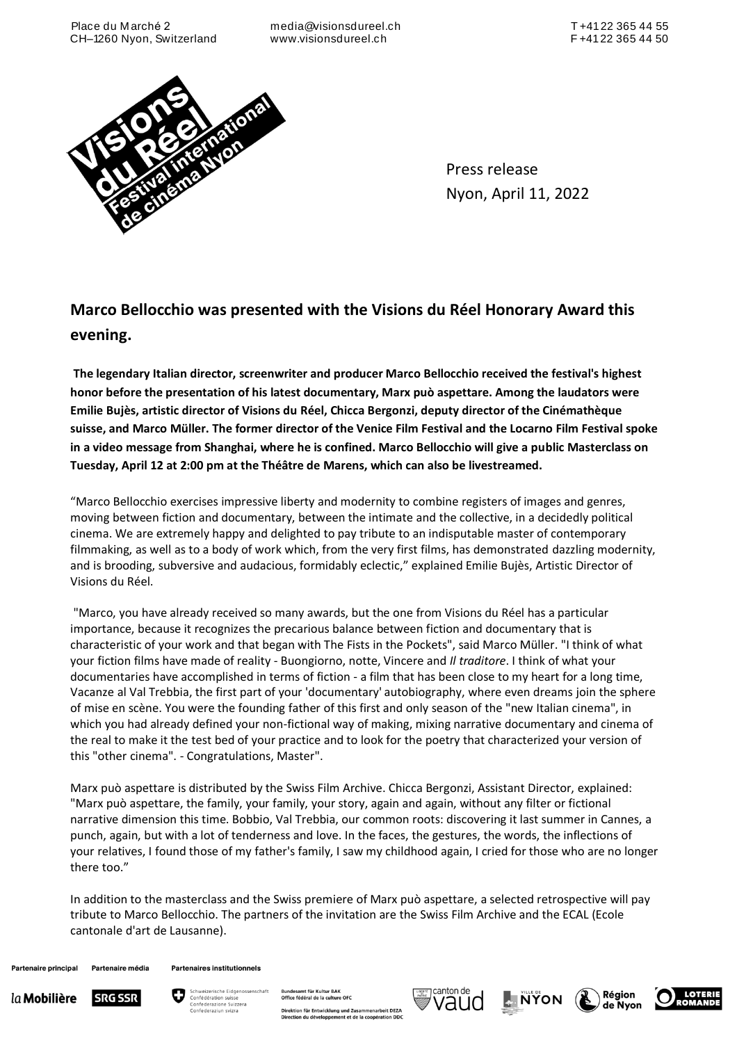Place du M arché 2 CH–1260 Nyon, Switzerland

media@visionsdureel.ch www.visionsdureel.ch



Press release Nyon, April 11, 2022

## **Marco Bellocchio was presented with the Visions du Réel Honorary Award this evening.**

**The legendary Italian director, screenwriter and producer Marco Bellocchio received the festival's highest honor before the presentation of his latest documentary, Marx può aspettare. Among the laudators were Emilie Bujès, artistic director of Visions du Réel, Chicca Bergonzi, deputy director of the Cinémathèque suisse, and Marco Müller. The former director of the Venice Film Festival and the Locarno Film Festival spoke in a video message from Shanghai, where he is confined. Marco Bellocchio will give a public Masterclass on Tuesday, April 12 at 2:00 pm at the Théâtre de Marens, which can also be livestreamed.**

"Marco Bellocchio exercises impressive liberty and modernity to combine registers of images and genres, moving between fiction and documentary, between the intimate and the collective, in a decidedly political cinema. We are extremely happy and delighted to pay tribute to an indisputable master of contemporary filmmaking, as well as to a body of work which, from the very first films, has demonstrated dazzling modernity, and is brooding, subversive and audacious, formidably eclectic," explained Emilie Bujès, Artistic Director of Visions du Réel.

"Marco, you have already received so many awards, but the one from Visions du Réel has a particular importance, because it recognizes the precarious balance between fiction and documentary that is characteristic of your work and that began with The Fists in the Pockets", said Marco Müller. "I think of what your fiction films have made of reality - Buongiorno, notte, Vincere and *Il traditore*. I think of what your documentaries have accomplished in terms of fiction - a film that has been close to my heart for a long time, Vacanze al Val Trebbia, the first part of your 'documentary' autobiography, where even dreams join the sphere of mise en scène. You were the founding father of this first and only season of the "new Italian cinema", in which you had already defined your non-fictional way of making, mixing narrative documentary and cinema of the real to make it the test bed of your practice and to look for the poetry that characterized your version of this "other cinema". - Congratulations, Master".

Marx può aspettare is distributed by the Swiss Film Archive. Chicca Bergonzi, Assistant Director, explained: "Marx può aspettare, the family, your family, your story, again and again, without any filter or fictional narrative dimension this time. Bobbio, Val Trebbia, our common roots: discovering it last summer in Cannes, a punch, again, but with a lot of tenderness and love. In the faces, the gestures, the words, the inflections of your relatives, I found those of my father's family, I saw my childhood again, I cried for those who are no longer there too."

In addition to the masterclass and the Swiss premiere of Marx può aspettare, a selected retrospective will pay tribute to Marco Bellocchio. The partners of the invitation are the Swiss Film Archive and the ECAL (Ecole cantonale d'art de Lausanne).

Partenaire média **Partenaire principal** 

**Partenaires institutionnels** 





samt für Kultur BAK<br>fédéral de la culture OFC Direktion für Entwicklung und Zusammenarbeit DEZA<br>Direction du développement et de la coopération DDC